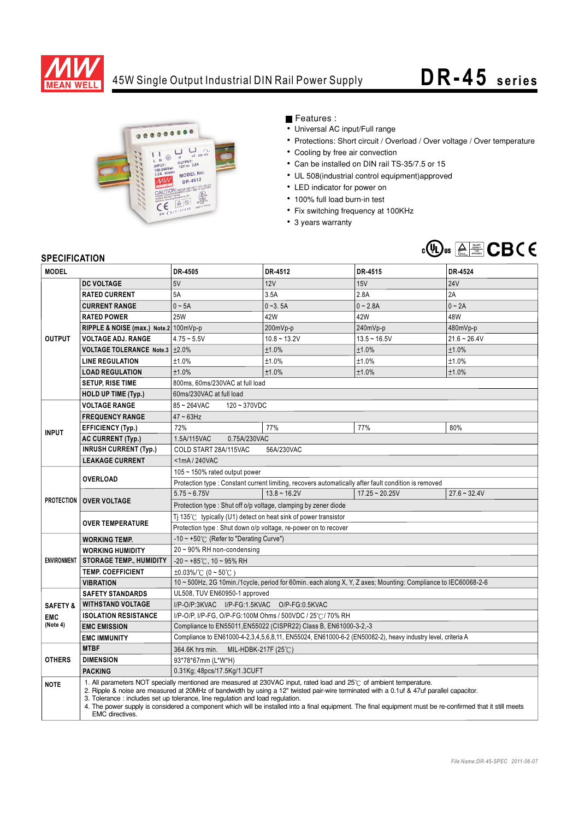

## 45W Single Output Industrial DIN Rail Power Supply **DR- 45 series**



Features :

- Universal AC input/Full range
- Protections: Short circuit / Overload / Over voltage / Over temperature
- Cooling by free air convection
- Can be installed on DIN rail TS-35/7.5 or 15
- UL 508(industrial control equipment)approved
- LED indicator for power on
- 100% full load burn-in test
- Fix switching frequency at 100KHz
- 3 years warranty



## **SPECIFICATION**

| <b>MODEL</b>        |                                                                                                                                                                                                                                                                                                                                                                                                                                                                                                                                          | DR-4505                                                                                                       | DR-4512        | DR-4515          | DR-4524        |
|---------------------|------------------------------------------------------------------------------------------------------------------------------------------------------------------------------------------------------------------------------------------------------------------------------------------------------------------------------------------------------------------------------------------------------------------------------------------------------------------------------------------------------------------------------------------|---------------------------------------------------------------------------------------------------------------|----------------|------------------|----------------|
|                     | <b>DC VOLTAGE</b>                                                                                                                                                                                                                                                                                                                                                                                                                                                                                                                        | 5V                                                                                                            | 12V            | 15V              | <b>24V</b>     |
| <b>OUTPUT</b>       | <b>RATED CURRENT</b>                                                                                                                                                                                                                                                                                                                                                                                                                                                                                                                     | 5A                                                                                                            | 3.5A           | 2.8A             | 2A             |
|                     | <b>CURRENT RANGE</b>                                                                                                                                                                                                                                                                                                                                                                                                                                                                                                                     | $0 - 5A$                                                                                                      | $0 - 3.5A$     | $0 - 2.8A$       | $0 \sim 2A$    |
|                     | <b>RATED POWER</b>                                                                                                                                                                                                                                                                                                                                                                                                                                                                                                                       | <b>25W</b>                                                                                                    | 42W            | 42W              | 48W            |
|                     | RIPPLE & NOISE (max.) Note.2 100mVp-p                                                                                                                                                                                                                                                                                                                                                                                                                                                                                                    |                                                                                                               | 200mVp-p       | 240mVp-p         | 480mVp-p       |
|                     | <b>VOLTAGE ADJ. RANGE</b>                                                                                                                                                                                                                                                                                                                                                                                                                                                                                                                | $4.75 - 5.5V$                                                                                                 | $10.8 - 13.2V$ | $13.5 - 16.5V$   | $21.6 - 26.4V$ |
|                     | <b>VOLTAGE TOLERANCE Note.3</b>                                                                                                                                                                                                                                                                                                                                                                                                                                                                                                          | $\pm 2.0\%$                                                                                                   | ±1.0%          | ±1.0%            | ±1.0%          |
|                     | <b>LINE REGULATION</b>                                                                                                                                                                                                                                                                                                                                                                                                                                                                                                                   | ±1.0%                                                                                                         | ±1.0%          | ±1.0%            | ±1.0%          |
|                     | <b>LOAD REGULATION</b>                                                                                                                                                                                                                                                                                                                                                                                                                                                                                                                   | ±1.0%                                                                                                         | ±1.0%          | ±1.0%            | ±1.0%          |
|                     | <b>SETUP, RISE TIME</b>                                                                                                                                                                                                                                                                                                                                                                                                                                                                                                                  | 800ms, 60ms/230VAC at full load                                                                               |                |                  |                |
|                     | <b>HOLD UP TIME (Typ.)</b>                                                                                                                                                                                                                                                                                                                                                                                                                                                                                                               | 60ms/230VAC at full load                                                                                      |                |                  |                |
| <b>INPUT</b>        | <b>VOLTAGE RANGE</b>                                                                                                                                                                                                                                                                                                                                                                                                                                                                                                                     | 85~264VAC<br>$120 - 370VDC$                                                                                   |                |                  |                |
|                     | <b>FREQUENCY RANGE</b>                                                                                                                                                                                                                                                                                                                                                                                                                                                                                                                   | $47 \sim 63$ Hz                                                                                               |                |                  |                |
|                     | <b>EFFICIENCY (Typ.)</b>                                                                                                                                                                                                                                                                                                                                                                                                                                                                                                                 | 72%                                                                                                           | 77%            | 77%              | 80%            |
|                     | <b>AC CURRENT (Typ.)</b>                                                                                                                                                                                                                                                                                                                                                                                                                                                                                                                 | 0.75A/230VAC<br>1.5A/115VAC                                                                                   |                |                  |                |
|                     | <b>INRUSH CURRENT (Typ.)</b>                                                                                                                                                                                                                                                                                                                                                                                                                                                                                                             | COLD START 28A/115VAC<br>56A/230VAC                                                                           |                |                  |                |
|                     | <b>LEAKAGE CURRENT</b>                                                                                                                                                                                                                                                                                                                                                                                                                                                                                                                   | $<$ 1mA/240VAC                                                                                                |                |                  |                |
| <b>PROTECTION</b>   | <b>OVERLOAD</b>                                                                                                                                                                                                                                                                                                                                                                                                                                                                                                                          | 105 $\sim$ 150% rated output power                                                                            |                |                  |                |
|                     |                                                                                                                                                                                                                                                                                                                                                                                                                                                                                                                                          | Protection type : Constant current limiting, recovers automatically after fault condition is removed          |                |                  |                |
|                     | <b>OVER VOLTAGE</b>                                                                                                                                                                                                                                                                                                                                                                                                                                                                                                                      | $5.75 - 6.75V$                                                                                                | $13.8 - 16.2V$ | $17.25 - 20.25V$ | $27.6 - 32.4V$ |
|                     |                                                                                                                                                                                                                                                                                                                                                                                                                                                                                                                                          | Protection type: Shut off o/p voltage, clamping by zener diode                                                |                |                  |                |
|                     |                                                                                                                                                                                                                                                                                                                                                                                                                                                                                                                                          | Ti 135 $\degree$ C typically (U1) detect on heat sink of power transistor                                     |                |                  |                |
|                     | <b>OVER TEMPERATURE</b>                                                                                                                                                                                                                                                                                                                                                                                                                                                                                                                  | Protection type: Shut down o/p voltage, re-power on to recover                                                |                |                  |                |
| <b>ENVIRONMENT</b>  | <b>WORKING TEMP.</b>                                                                                                                                                                                                                                                                                                                                                                                                                                                                                                                     | -10 ~ +50° $\subset$ (Refer to "Derating Curve")                                                              |                |                  |                |
|                     | <b>WORKING HUMIDITY</b>                                                                                                                                                                                                                                                                                                                                                                                                                                                                                                                  | 20~90% RH non-condensing                                                                                      |                |                  |                |
|                     | <b>STORAGE TEMP., HUMIDITY</b>                                                                                                                                                                                                                                                                                                                                                                                                                                                                                                           | $-20 \sim +85^{\circ}$ C, 10 ~ 95% RH                                                                         |                |                  |                |
|                     | <b>TEMP. COEFFICIENT</b>                                                                                                                                                                                                                                                                                                                                                                                                                                                                                                                 | $\pm 0.03\%$ /°C (0 ~ 50°C)                                                                                   |                |                  |                |
|                     | <b>VIBRATION</b>                                                                                                                                                                                                                                                                                                                                                                                                                                                                                                                         | 10 ~ 500Hz, 2G 10min./1cycle, period for 60min. each along X, Y, Z axes; Mounting: Compliance to IEC60068-2-6 |                |                  |                |
|                     | <b>SAFETY STANDARDS</b>                                                                                                                                                                                                                                                                                                                                                                                                                                                                                                                  | UL508, TUV EN60950-1 approved                                                                                 |                |                  |                |
| <b>SAFETY &amp;</b> | <b>WITHSTAND VOLTAGE</b>                                                                                                                                                                                                                                                                                                                                                                                                                                                                                                                 | I/P-O/P:3KVAC I/P-FG:1.5KVAC O/P-FG:0.5KVAC                                                                   |                |                  |                |
| <b>EMC</b>          | <b>ISOLATION RESISTANCE</b>                                                                                                                                                                                                                                                                                                                                                                                                                                                                                                              | I/P-O/P, I/P-FG, O/P-FG:100M Ohms / 500VDC / 25°C / 70% RH                                                    |                |                  |                |
| (Note 4)            | <b>EMC EMISSION</b>                                                                                                                                                                                                                                                                                                                                                                                                                                                                                                                      | Compliance to EN55011, EN55022 (CISPR22) Class B, EN61000-3-2,-3                                              |                |                  |                |
|                     | <b>EMC IMMUNITY</b>                                                                                                                                                                                                                                                                                                                                                                                                                                                                                                                      | Compliance to EN61000-4-2,3,4,5,6,8,11, EN55024, EN61000-6-2 (EN50082-2), heavy industry level, criteria A    |                |                  |                |
| <b>OTHERS</b>       | <b>MTBF</b>                                                                                                                                                                                                                                                                                                                                                                                                                                                                                                                              | 364.6K hrs min. MIL-HDBK-217F (25°C)                                                                          |                |                  |                |
|                     | <b>DIMENSION</b>                                                                                                                                                                                                                                                                                                                                                                                                                                                                                                                         | 93*78*67mm (L*W*H)                                                                                            |                |                  |                |
|                     | <b>PACKING</b>                                                                                                                                                                                                                                                                                                                                                                                                                                                                                                                           | 0.31Kg; 48pcs/17.5Kg/1.3CUFT                                                                                  |                |                  |                |
| <b>NOTE</b>         | 1. All parameters NOT specially mentioned are measured at 230VAC input, rated load and 25°C of ambient temperature.<br>2. Ripple & noise are measured at 20MHz of bandwidth by using a 12" twisted pair-wire terminated with a 0.1uf & 47uf parallel capacitor.<br>3. Tolerance: includes set up tolerance, line regulation and load regulation.<br>4. The power supply is considered a component which will be installed into a final equipment. The final equipment must be re-confirmed that it still meets<br><b>EMC</b> directives. |                                                                                                               |                |                  |                |